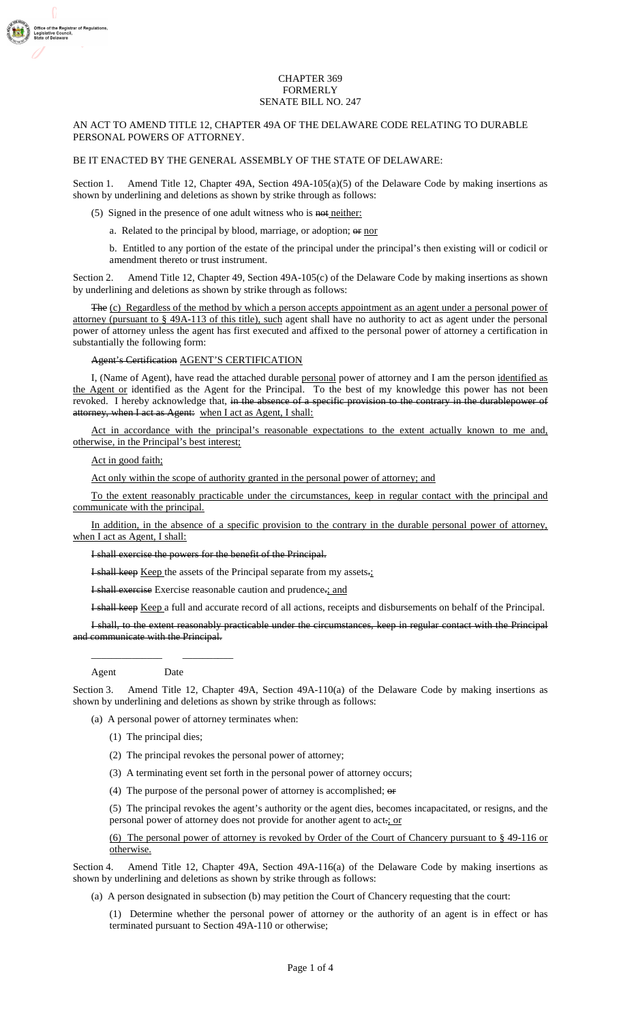### CHAPTER 369 FORMERLY SENATE BILL NO. 247

## AN ACT TO AMEND TITLE 12, CHAPTER 49A OF THE DELAWARE CODE RELATING TO DURABLE PERSONAL POWERS OF ATTORNEY.

## BE IT ENACTED BY THE GENERAL ASSEMBLY OF THE STATE OF DELAWARE:

Section 1. Amend Title 12, Chapter 49A, Section 49A-105(a)(5) of the Delaware Code by making insertions as shown by underlining and deletions as shown by strike through as follows:

(5) Signed in the presence of one adult witness who is not neither:

a. Related to the principal by blood, marriage, or adoption;  $\theta$  mor

b. Entitled to any portion of the estate of the principal under the principal's then existing will or codicil or amendment thereto or trust instrument.

Section 2. Amend Title 12, Chapter 49, Section 49A-105(c) of the Delaware Code by making insertions as shown by underlining and deletions as shown by strike through as follows:

The (c) Regardless of the method by which a person accepts appointment as an agent under a personal power of attorney (pursuant to § 49A-113 of this title), such agent shall have no authority to act as agent under the personal power of attorney unless the agent has first executed and affixed to the personal power of attorney a certification in substantially the following form:

nt's Certification AGENT'S CERTIFICATION

I, (Name of Agent), have read the attached durable personal power of attorney and I am the person identified as the Agent or identified as the Agent for the Principal. To the best of my knowledge this power has not been revoked. I hereby acknowledge that, in the absence of a specific provision to the contrary in the durablepower of attorney, when I act as Agent: when I act as Agent, I shall:

Act in accordance with the principal's reasonable expectations to the extent actually known to me and, otherwise, in the Principal's best interest;

Act in good faith;

of Regulati

Act only within the scope of authority granted in the personal power of attorney; and

To the extent reasonably practicable under the circumstances, keep in regular contact with the principal and communicate with the principal.

In addition, in the absence of a specific provision to the contrary in the durable personal power of attorney, when I act as Agent, I shall:

I shall exercise the powers for the benefit of the Principal.

I shall keep Keep the assets of the Principal separate from my assets.;

I shall exercise Exercise reasonable caution and prudence-; and

I shall keep Keep a full and accurate record of all actions, receipts and disbursements on behalf of the Principal.

I shall, to the extent reasonably practicable under the circumstances, keep in regular contact with the Principal and communicate with the Principal.

Agent Date

Section 3. Amend Title 12, Chapter 49A, Section 49A-110(a) of the Delaware Code by making insertions as shown by underlining and deletions as shown by strike through as follows:

(a) A personal power of attorney terminates when:

(1) The principal dies;

\_\_\_\_\_\_\_\_\_\_\_\_\_\_ \_\_\_\_\_\_\_\_\_\_

- (2) The principal revokes the personal power of attorney;
- (3) A terminating event set forth in the personal power of attorney occurs;
- (4) The purpose of the personal power of attorney is accomplished; or

(5) The principal revokes the agent's authority or the agent dies, becomes incapacitated, or resigns, and the personal power of attorney does not provide for another agent to act-; or

(6) The personal power of attorney is revoked by Order of the Court of Chancery pursuant to § 49-116 or otherwise.

Section 4. Amend Title 12, Chapter 49A, Section 49A-116(a) of the Delaware Code by making insertions as shown by underlining and deletions as shown by strike through as follows:

(a) A person designated in subsection (b) may petition the Court of Chancery requesting that the court:

(1) Determine whether the personal power of attorney or the authority of an agent is in effect or has terminated pursuant to Section 49A-110 or otherwise;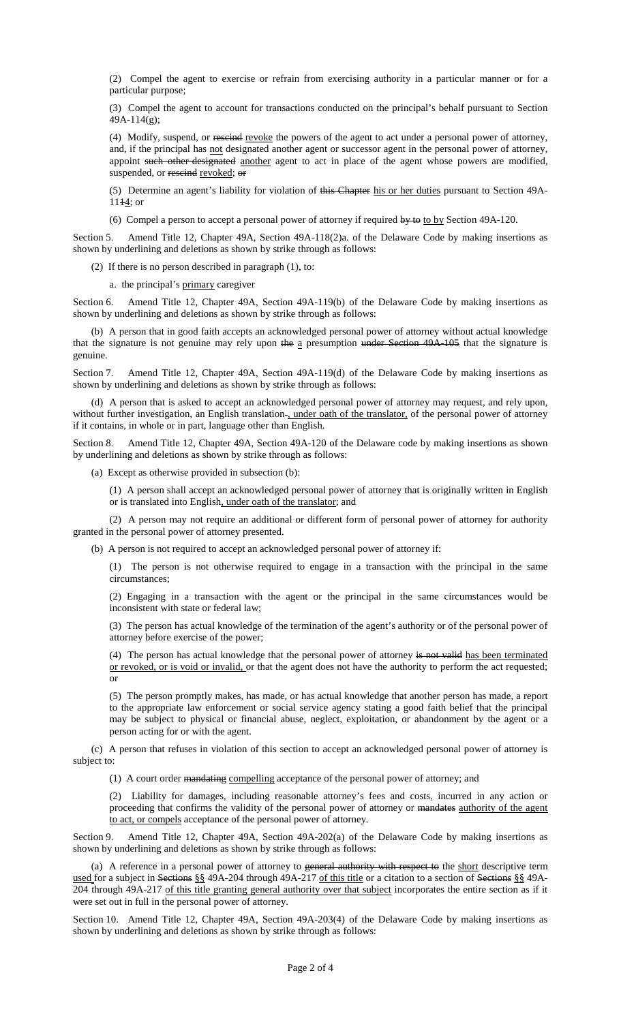(2) Compel the agent to exercise or refrain from exercising authority in a particular manner or for a particular purpose;

(3) Compel the agent to account for transactions conducted on the principal's behalf pursuant to Section 49A-114(g);

(4) Modify, suspend, or rescind revoke the powers of the agent to act under a personal power of attorney, and, if the principal has not designated another agent or successor agent in the personal power of attorney, appoint such other designated another agent to act in place of the agent whose powers are modified, suspended, or rescind revoked; or

(5) Determine an agent's liability for violation of this Chapter his or her duties pursuant to Section 49A-1114; or

(6) Compel a person to accept a personal power of attorney if required  $\frac{1}{2}$  by Section 49A-120.

Section 5. Amend Title 12, Chapter 49A, Section 49A-118(2)a. of the Delaware Code by making insertions as shown by underlining and deletions as shown by strike through as follows:

(2) If there is no person described in paragraph (1), to:

a. the principal's primary caregiver

Section 6. Amend Title 12, Chapter 49A, Section 49A-119(b) of the Delaware Code by making insertions as shown by underlining and deletions as shown by strike through as follows:

(b) A person that in good faith accepts an acknowledged personal power of attorney without actual knowledge that the signature is not genuine may rely upon the a presumption under Section 49A-105 that the signature is genuine.

Section 7. Amend Title 12, Chapter 49A, Section 49A-119(d) of the Delaware Code by making insertions as shown by underlining and deletions as shown by strike through as follows:

(d) A person that is asked to accept an acknowledged personal power of attorney may request, and rely upon, without further investigation, an English translation-, under oath of the translator, of the personal power of attorney if it contains, in whole or in part, language other than English.

Section 8. Amend Title 12, Chapter 49A, Section 49A-120 of the Delaware code by making insertions as shown by underlining and deletions as shown by strike through as follows:

(a) Except as otherwise provided in subsection (b):

(1) A person shall accept an acknowledged personal power of attorney that is originally written in English or is translated into English, under oath of the translator; and

(2) A person may not require an additional or different form of personal power of attorney for authority granted in the personal power of attorney presented.

(b) A person is not required to accept an acknowledged personal power of attorney if:

(1) The person is not otherwise required to engage in a transaction with the principal in the same circumstances;

(2) Engaging in a transaction with the agent or the principal in the same circumstances would be inconsistent with state or federal law;

(3) The person has actual knowledge of the termination of the agent's authority or of the personal power of attorney before exercise of the power;

(4) The person has actual knowledge that the personal power of attorney is not valid has been terminated or revoked, or is void or invalid, or that the agent does not have the authority to perform the act requested; or

(5) The person promptly makes, has made, or has actual knowledge that another person has made, a report to the appropriate law enforcement or social service agency stating a good faith belief that the principal may be subject to physical or financial abuse, neglect, exploitation, or abandonment by the agent or a person acting for or with the agent.

(c) A person that refuses in violation of this section to accept an acknowledged personal power of attorney is subject to:

(1) A court order mandating compelling acceptance of the personal power of attorney; and

(2) Liability for damages, including reasonable attorney's fees and costs, incurred in any action or proceeding that confirms the validity of the personal power of attorney or mandates authority of the agent to act, or compels acceptance of the personal power of attorney.

Section 9. Amend Title 12, Chapter 49A, Section 49A-202(a) of the Delaware Code by making insertions as shown by underlining and deletions as shown by strike through as follows:

(a) A reference in a personal power of attorney to general authority with respect to the short descriptive term used for a subject in Sections §§ 49A-204 through 49A-217 of this title or a citation to a section of Sections §§ 49A-204 through 49A-217 of this title granting general authority over that subject incorporates the entire section as if it were set out in full in the personal power of attorney.

Section 10. Amend Title 12, Chapter 49A, Section 49A-203(4) of the Delaware Code by making insertions as shown by underlining and deletions as shown by strike through as follows: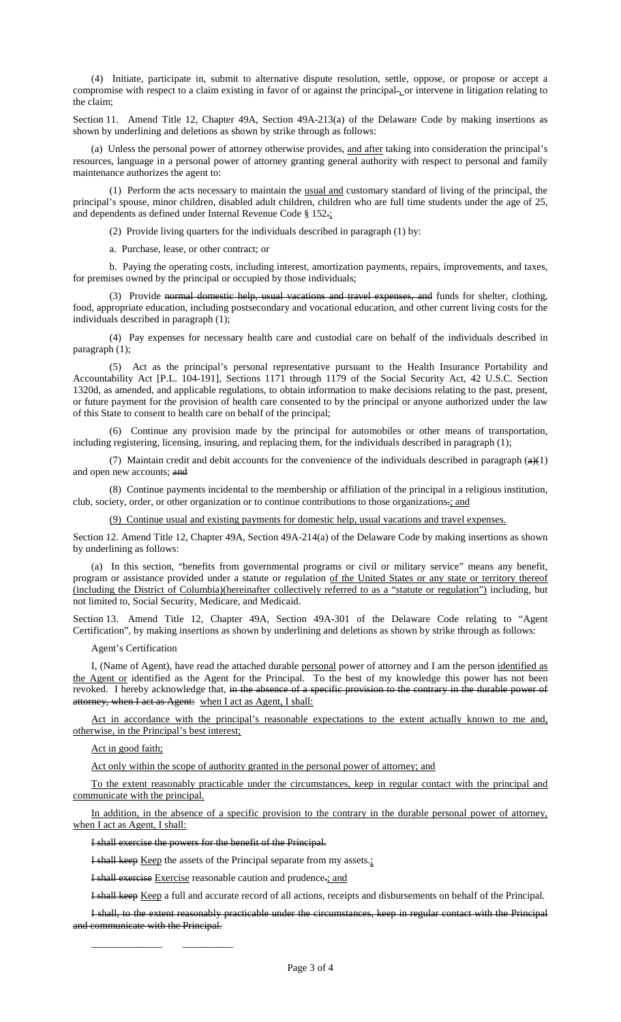(4) Initiate, participate in, submit to alternative dispute resolution, settle, oppose, or propose or accept a compromise with respect to a claim existing in favor of or against the principal-or intervene in litigation relating to the claim;

Section 11. Amend Title 12, Chapter 49A, Section 49A-213(a) of the Delaware Code by making insertions as shown by underlining and deletions as shown by strike through as follows:

(a) Unless the personal power of attorney otherwise provides, and after taking into consideration the principal's resources, language in a personal power of attorney granting general authority with respect to personal and family maintenance authorizes the agent to:

(1) Perform the acts necessary to maintain the usual and customary standard of living of the principal, the principal's spouse, minor children, disabled adult children, children who are full time students under the age of 25, and dependents as defined under Internal Revenue Code § 152.;

(2) Provide living quarters for the individuals described in paragraph (1) by:

a. Purchase, lease, or other contract; or

b. Paying the operating costs, including interest, amortization payments, repairs, improvements, and taxes, for premises owned by the principal or occupied by those individuals;

(3) Provide normal domestic help, usual vacations and travel expenses, and funds for shelter, clothing, food, appropriate education, including postsecondary and vocational education, and other current living costs for the individuals described in paragraph (1);

(4) Pay expenses for necessary health care and custodial care on behalf of the individuals described in paragraph (1);

(5) Act as the principal's personal representative pursuant to the Health Insurance Portability and Accountability Act [P.L. 104-191], Sections 1171 through 1179 of the Social Security Act, 42 U.S.C. Section 1320d, as amended, and applicable regulations, to obtain information to make decisions relating to the past, present, or future payment for the provision of health care consented to by the principal or anyone authorized under the law of this State to consent to health care on behalf of the principal;

Continue any provision made by the principal for automobiles or other means of transportation, including registering, licensing, insuring, and replacing them, for the individuals described in paragraph (1);

(7) Maintain credit and debit accounts for the convenience of the individuals described in paragraph  $(a)(1)$ and open new accounts; and

(8) Continue payments incidental to the membership or affiliation of the principal in a religious institution, club, society, order, or other organization or to continue contributions to those organizations.; and

(9) Continue usual and existing payments for domestic help, usual vacations and travel expenses.

Section 12. Amend Title 12, Chapter 49A, Section 49A-214(a) of the Delaware Code by making insertions as shown by underlining as follows:

(a) In this section, "benefits from governmental programs or civil or military service" means any benefit, program or assistance provided under a statute or regulation of the United States or any state or territory thereof (including the District of Columbia)(hereinafter collectively referred to as a "statute or regulation") including, but not limited to, Social Security, Medicare, and Medicaid.

Section 13. Amend Title 12, Chapter 49A, Section 49A-301 of the Delaware Code relating to "Agent Certification", by making insertions as shown by underlining and deletions as shown by strike through as follows:

#### Agent's Certification

I, (Name of Agent), have read the attached durable personal power of attorney and I am the person identified as the Agent or identified as the Agent for the Principal. To the best of my knowledge this power has not been revoked. I hereby acknowledge that, in the absence of a specific provision to the contrary in the durable power of when I act as Agent: when I act as Agent, I shall:

Act in accordance with the principal's reasonable expectations to the extent actually known to me and, otherwise, in the Principal's best interest;

Act in good faith;

Act only within the scope of authority granted in the personal power of attorney; and

To the extent reasonably practicable under the circumstances, keep in regular contact with the principal and communicate with the principal.

In addition, in the absence of a specific provision to the contrary in the durable personal power of attorney, when I act as Agent, I shall:

I shall exercise the powers for the benefit of the Principal.

\_\_\_\_\_\_\_\_\_\_\_\_\_\_ \_\_\_\_\_\_\_\_\_\_

I shall keep Keep the assets of the Principal separate from my assets.

I shall exercise Exercise reasonable caution and prudence.; and

I shall keep Keep a full and accurate record of all actions, receipts and disbursements on behalf of the Principal.

I shall, to the extent reasonably practicable under the circumstances, keep in regular contact with the Principal and communicate with the Principal.